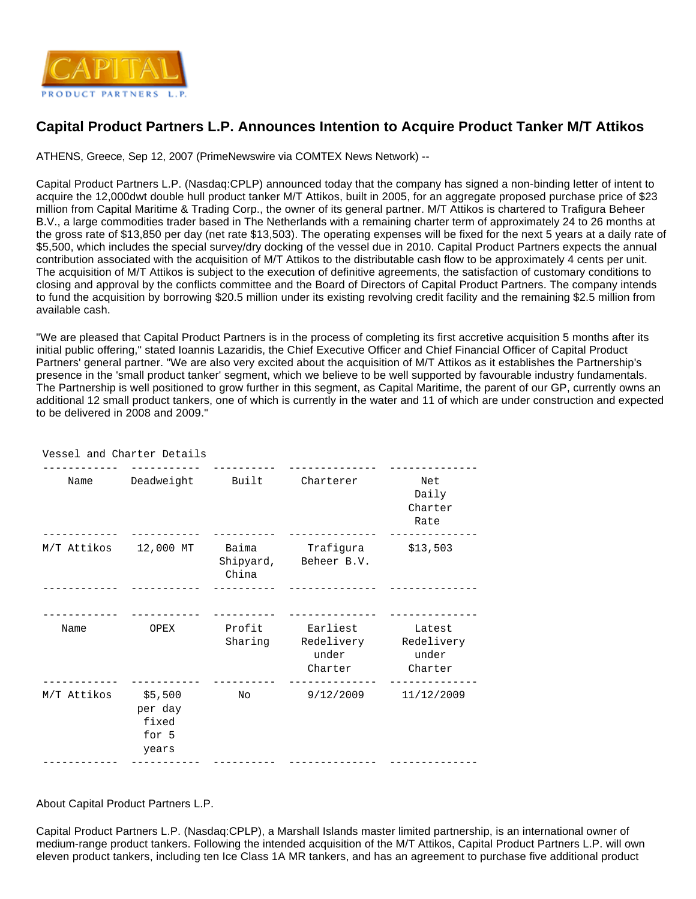

## **Capital Product Partners L.P. Announces Intention to Acquire Product Tanker M/T Attikos**

ATHENS, Greece, Sep 12, 2007 (PrimeNewswire via COMTEX News Network) --

Capital Product Partners L.P. (Nasdaq:CPLP) announced today that the company has signed a non-binding letter of intent to acquire the 12,000dwt double hull product tanker M/T Attikos, built in 2005, for an aggregate proposed purchase price of \$23 million from Capital Maritime & Trading Corp., the owner of its general partner. M/T Attikos is chartered to Trafigura Beheer B.V., a large commodities trader based in The Netherlands with a remaining charter term of approximately 24 to 26 months at the gross rate of \$13,850 per day (net rate \$13,503). The operating expenses will be fixed for the next 5 years at a daily rate of \$5,500, which includes the special survey/dry docking of the vessel due in 2010. Capital Product Partners expects the annual contribution associated with the acquisition of M/T Attikos to the distributable cash flow to be approximately 4 cents per unit. The acquisition of M/T Attikos is subject to the execution of definitive agreements, the satisfaction of customary conditions to closing and approval by the conflicts committee and the Board of Directors of Capital Product Partners. The company intends to fund the acquisition by borrowing \$20.5 million under its existing revolving credit facility and the remaining \$2.5 million from available cash.

"We are pleased that Capital Product Partners is in the process of completing its first accretive acquisition 5 months after its initial public offering," stated Ioannis Lazaridis, the Chief Executive Officer and Chief Financial Officer of Capital Product Partners' general partner. "We are also very excited about the acquisition of M/T Attikos as it establishes the Partnership's presence in the 'small product tanker' segment, which we believe to be well supported by favourable industry fundamentals. The Partnership is well positioned to grow further in this segment, as Capital Maritime, the parent of our GP, currently owns an additional 12 small product tankers, one of which is currently in the water and 11 of which are under construction and expected to be delivered in 2008 and 2009."

| Vessel and Charter Details |                                               |                   |                                    |                                                     |
|----------------------------|-----------------------------------------------|-------------------|------------------------------------|-----------------------------------------------------|
| Name                       | Deadweight                                    | Built             | Charterer                          | Net<br>Daily<br>Charter<br>Rate                     |
| M/T Attikos 12,000 MT      |                                               | Baima<br>China    | Trafiqura<br>Shipyard, Beheer B.V. | \$13,503                                            |
| Name                       | OPEX                                          | Profit<br>Sharing | Earliest<br>under<br>Charter       | Latest<br>Redelivery Redelivery<br>under<br>Charter |
| M/T Attikos                | \$5,500<br>per day<br>fixed<br>for 5<br>years | No                | 9/12/2009                          | 11/12/2009                                          |
|                            |                                               |                   |                                    |                                                     |

About Capital Product Partners L.P.

Capital Product Partners L.P. (Nasdaq:CPLP), a Marshall Islands master limited partnership, is an international owner of medium-range product tankers. Following the intended acquisition of the M/T Attikos, Capital Product Partners L.P. will own eleven product tankers, including ten Ice Class 1A MR tankers, and has an agreement to purchase five additional product